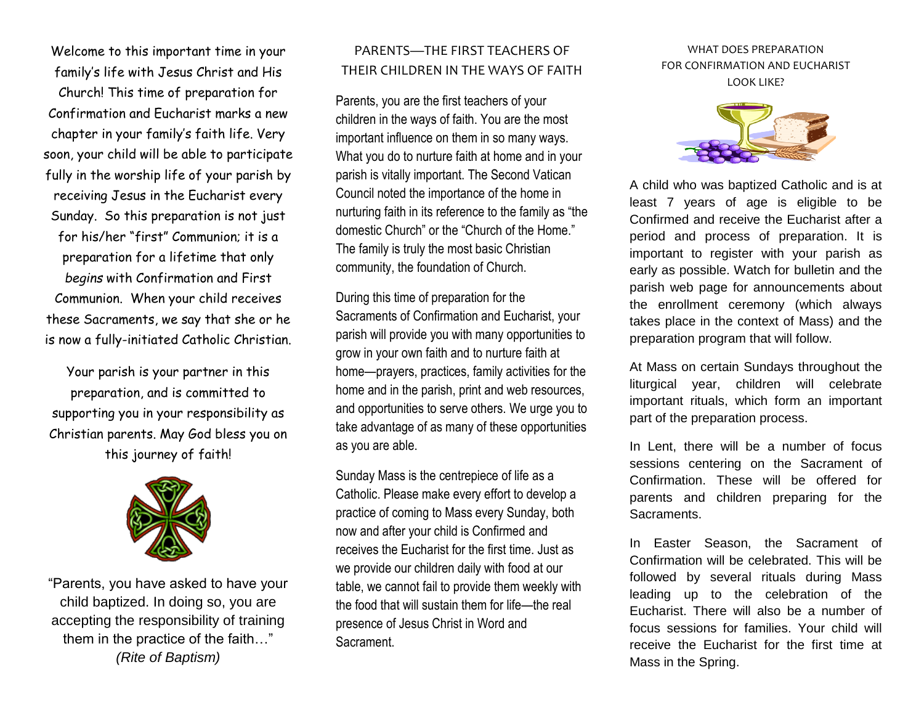Welcome to this important time in your family's life with Jesus Christ and His

Church! This time of preparation for Confirmation and Eucharist marks a new chapter in your family's faith life. Very soon, your child will be able to participate fully in the worship life of your parish by receiving Jesus in the Eucharist every Sunday. So this preparation is not just for his/her "first" Communion; it is a preparation for a lifetime that only *begins* with Confirmation and First Communion. When your child receives these Sacraments, we say that she or he is now a fully-initiated Catholic Christian.

Your parish is your partner in this preparation, and is committed to supporting you in your responsibility as Christian parents. May God bless you on this journey of faith!



"Parents, you have asked to have your child baptized. In doing so, you are accepting the responsibility of training them in the practice of the faith…" *(Rite of Baptism)*

## PARENTS—THE FIRST TEACHERS OF THEIR CHILDREN IN THE WAYS OF FAITH

Parents, you are the first teachers of your children in the ways of faith. You are the most important influence on them in so many ways. What you do to nurture faith at home and in your parish is vitally important. The Second Vatican Council noted the importance of the home in nurturing faith in its reference to the family as "the domestic Church" or the "Church of the Home." The family is truly the most basic Christian community, the foundation of Church.

During this time of preparation for the Sacraments of Confirmation and Eucharist, your parish will provide you with many opportunities to grow in your own faith and to nurture faith at home—prayers, practices, family activities for the home and in the parish, print and web resources, and opportunities to serve others. We urge you to take advantage of as many of these opportunities as you are able.

Sunday Mass is the centrepiece of life as a Catholic. Please make every effort to develop a practice of coming to Mass every Sunday, both now and after your child is Confirmed and receives the Eucharist for the first time. Just as we provide our children daily with food at our table, we cannot fail to provide them weekly with the food that will sustain them for life—the real presence of Jesus Christ in Word and Sacrament.

## WHAT DOES PREPARATION FOR CONFIRMATION AND EUCHARIST LOOK LIKE?



A child who was baptized Catholic and is at least 7 years of age is eligible to be Confirmed and receive the Eucharist after a period and process of preparation. It is important to register with your parish as early as possible. Watch for bulletin and the parish web page for announcements about the enrollment ceremony (which always takes place in the context of Mass) and the preparation program that will follow.

At Mass on certain Sundays throughout the liturgical year, children will celebrate important rituals, which form an important part of the preparation process.

In Lent, there will be a number of focus sessions centering on the Sacrament of Confirmation. These will be offered for parents and children preparing for the Sacraments.

In Easter Season, the Sacrament of Confirmation will be celebrated. This will be followed by several rituals during Mass leading up to the celebration of the Eucharist. There will also be a number of focus sessions for families. Your child will receive the Eucharist for the first time at Mass in the Spring.